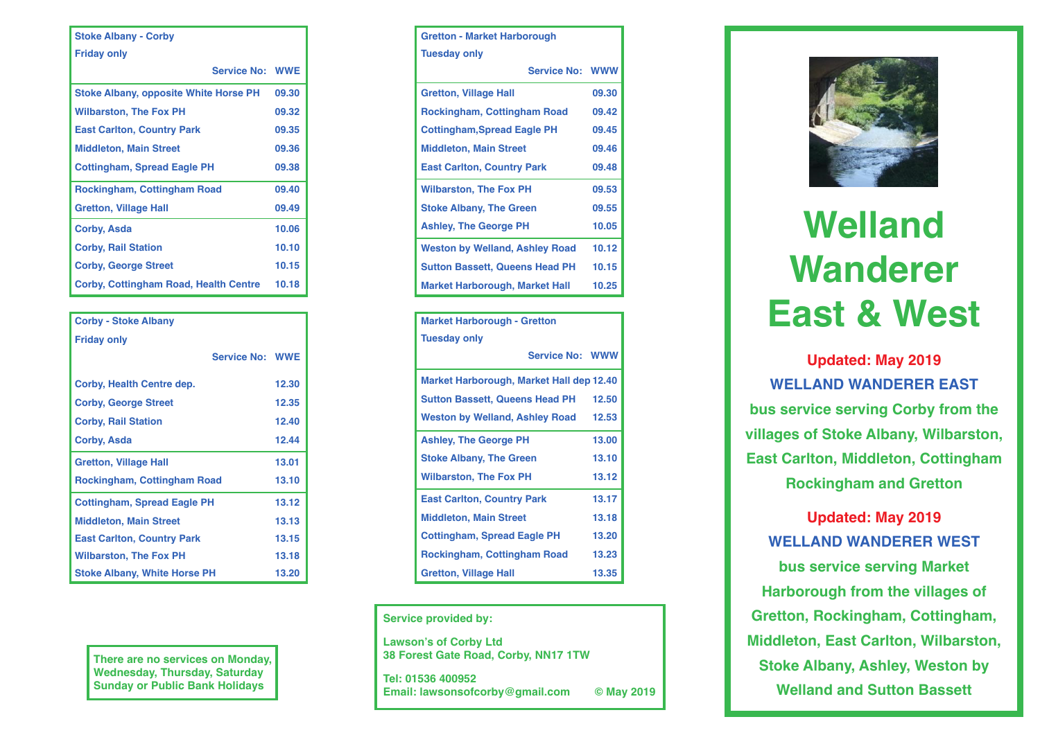| <b>Stoke Albany - Corby</b>                  |       |  |  |  |  |  |  |
|----------------------------------------------|-------|--|--|--|--|--|--|
| <b>Friday only</b>                           |       |  |  |  |  |  |  |
| <b>Service No: WWE</b>                       |       |  |  |  |  |  |  |
| <b>Stoke Albany, opposite White Horse PH</b> | 09.30 |  |  |  |  |  |  |
| <b>Wilbarston, The Fox PH</b>                | 09.32 |  |  |  |  |  |  |
| <b>East Carlton, Country Park</b>            | 09.35 |  |  |  |  |  |  |
| <b>Middleton, Main Street</b>                | 09.36 |  |  |  |  |  |  |
| <b>Cottingham, Spread Eagle PH</b>           | 09.38 |  |  |  |  |  |  |
| <b>Rockingham, Cottingham Road</b>           | 09.40 |  |  |  |  |  |  |
| <b>Gretton, Village Hall</b>                 | 09.49 |  |  |  |  |  |  |
| <b>Corby, Asda</b>                           | 10.06 |  |  |  |  |  |  |
| <b>Corby, Rail Station</b>                   | 10.10 |  |  |  |  |  |  |
| <b>Corby, George Street</b>                  | 10.15 |  |  |  |  |  |  |
| <b>Corby, Cottingham Road, Health Centre</b> | 10.18 |  |  |  |  |  |  |

| <b>Corby - Stoke Albany</b>         |       |
|-------------------------------------|-------|
| <b>Friday only</b>                  |       |
| <b>Service No: WWE</b>              |       |
| Corby, Health Centre dep.           | 12.30 |
| <b>Corby, George Street</b>         | 12.35 |
| <b>Corby, Rail Station</b>          | 12.40 |
| Corby, Asda                         | 12.44 |
| <b>Gretton, Village Hall</b>        | 13.01 |
| <b>Rockingham, Cottingham Road</b>  | 13.10 |
| <b>Cottingham, Spread Eagle PH</b>  | 13.12 |
| <b>Middleton, Main Street</b>       | 13.13 |
| <b>East Carlton, Country Park</b>   | 13.15 |
| <b>Wilbarston, The Fox PH</b>       | 13.18 |
| <b>Stoke Albany, White Horse PH</b> | 13.20 |

There are no services on Monday,<br>
Wednesday, Thursday, Saturday<br>
Sunday or Public Bank Holidays<br>
Tel: 01536 400952<br>
Email: lawsonsofcorby@gmail **Wednesday, Thursday, Saturday Sunday or Public Bank Holidays**

| <b>Gretton - Market Harborough</b>    |                        |  |  |  |  |  |
|---------------------------------------|------------------------|--|--|--|--|--|
| <b>Tuesday only</b>                   |                        |  |  |  |  |  |
|                                       | <b>Service No: WWW</b> |  |  |  |  |  |
| <b>Gretton, Village Hall</b>          | 09.30                  |  |  |  |  |  |
| <b>Rockingham, Cottingham Road</b>    | 09.42                  |  |  |  |  |  |
| <b>Cottingham, Spread Eagle PH</b>    | 09.45                  |  |  |  |  |  |
| <b>Middleton, Main Street</b>         | 09.46                  |  |  |  |  |  |
| <b>East Carlton, Country Park</b>     | 09.48                  |  |  |  |  |  |
| <b>Wilbarston, The Fox PH</b>         | 09.53                  |  |  |  |  |  |
| <b>Stoke Albany, The Green</b>        | 09.55                  |  |  |  |  |  |
| <b>Ashley, The George PH</b>          | 10.05                  |  |  |  |  |  |
| <b>Weston by Welland, Ashley Road</b> | 10.12                  |  |  |  |  |  |
| <b>Sutton Bassett, Queens Head PH</b> | 10.15                  |  |  |  |  |  |
| <b>Market Harborough, Market Hall</b> | 10.25                  |  |  |  |  |  |

| <b>Market Harborough - Gretton</b>       |       |  |  |  |  |  |
|------------------------------------------|-------|--|--|--|--|--|
| <b>Tuesday only</b>                      |       |  |  |  |  |  |
| <b>Service No: WWW</b>                   |       |  |  |  |  |  |
| Market Harborough, Market Hall dep 12.40 |       |  |  |  |  |  |
| <b>Sutton Bassett, Queens Head PH</b>    | 12.50 |  |  |  |  |  |
| <b>Weston by Welland, Ashley Road</b>    | 12.53 |  |  |  |  |  |
| <b>Ashley, The George PH</b>             | 13.00 |  |  |  |  |  |
| <b>Stoke Albany, The Green</b>           | 13.10 |  |  |  |  |  |
| <b>Wilbarston, The Fox PH</b>            | 13.12 |  |  |  |  |  |
| <b>East Carlton, Country Park</b>        | 13.17 |  |  |  |  |  |
| <b>Middleton, Main Street</b>            | 13.18 |  |  |  |  |  |
| <b>Cottingham, Spread Eagle PH</b>       | 13.20 |  |  |  |  |  |
| <b>Rockingham, Cottingham Road</b>       | 13.23 |  |  |  |  |  |
| <b>Gretton, Village Hall</b>             | 13.35 |  |  |  |  |  |

**Service provided by:**

**Lawson's of Corby Ltd 38 Forest Gate Road, Corby, NN17 1TW**

**Tel: 01536 400952 Email: lawsonsofcorby@gmail.com © May 2019**



## **Welland Wanderer East & West**

**Updated: May 2019 WELLAND WANDERER EAST bus service serving Corby from the villages of Stoke Albany, Wilbarston, East Carlton, Middleton, Cottingham Rockingham and Gretton**

**Updated: May 2019 WELLAND WANDERER WEST bus service serving Market Harborough from the villages of Gretton, Rockingham, Cottingham, Middleton, East Carlton, Wilbarston, Stoke Albany, Ashley, Weston by Welland and Sutton Bassett**